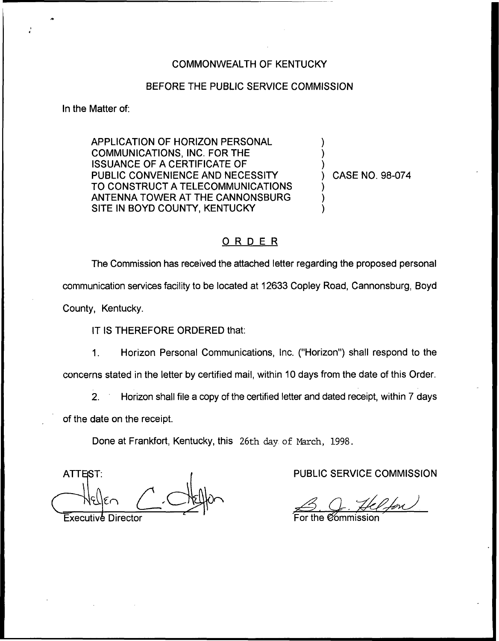## COMMONWEALTH OF KENTUCKY

## BEFORE THE PUBLIC SERVICE COMMISSION

In the Matter of:

APPLICATION OF HORIZON PERSONAL COMMUNICATIONS, INC. FOR THE ISSUANCE OF A CERTIFICATE OF PUBLIC CONVENIENCE AND NECESSITY TO CONSTRUCT A TELECOMMUNICATIONS ANTENNA TOWER AT THE CANNONSBURG SITE IN BOYD COUNTY, KENTUCKY

) CASE NO. 98-074

) ) )

) ) )

## ORDER

The Commission has received the attached letter regarding the proposed personal communication services facility to be located at 12633 Copley Road, Cannonsburg, Boyd County, Kentucky.

IT IS THEREFORE ORDERED that:

1. Horizon Personal Communications, Inc. ("Horizon") shall respond to the concerns stated in the letter by certified mail, within 10 days from the date of this Order.

2. Horizon shall file a copy of the certified letter and dated receipt, within 7 days of the date on the receipt.

Done at Frankfort, Kentucky, this 26th day of March, 1998.

**ATTEST:** Executive Director

PUBLIC SERVICE COMMISSION

For the *C*ommissio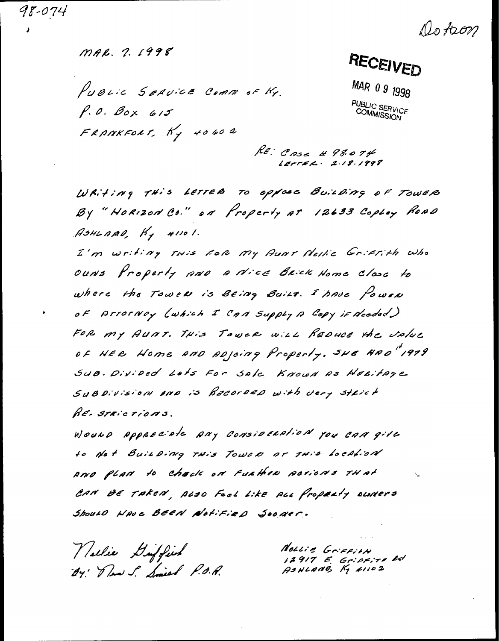98-074

Do faon

MAR. 7. 1998

PUBLIC SERVICE COMM OF KY.  $P.0. Box 615$ FRANKFORT, Ky 40602

RECEIVED

MAR 09 1998 **PUBLIC SERVICE**<br>COMMISSION

RE: CASE # 98.074  $LETFEL. 2.18.1998$ 

WRiting This LETTER TO OPPOSE BUILDING OF TOWER By "HORIZON CO." ON Property AT 12633 Copicy ROAD ASHLAAD,  $H_7$  41101.

I'm writing This FOR My AUNT Nellic Griffith Who OUNS Properly AND A Nice Brick Home Close to where the Tower is BEing Bailt. I have fower OF ATTOTNEY (which I CAN Supply A COPY if Needed) FOR MY AUNT. THIS TOWER WILL REDUCE the Value OF HER Home AND ADJOing Property. SHE HAD" 1979 SUB. Divided Lats For Sale Known as HELitage Subdivision and is Recorded with very strict RE. STRICTIONS.

Wound Appreciate Any Consideration you can give to Not Building THis Tower or THis Localion AND PLAN to check on Further posions THAT CAN BE TAKEN, ALSO Feel Like ALL Property curvers Should HAVE BEEN Notified Sooner.

Vellie Guffin By Daw S. Smith P.O.R.

Nollie Griffith 12917 E. Grippira Rd<br>AsHLANG, Ky 21102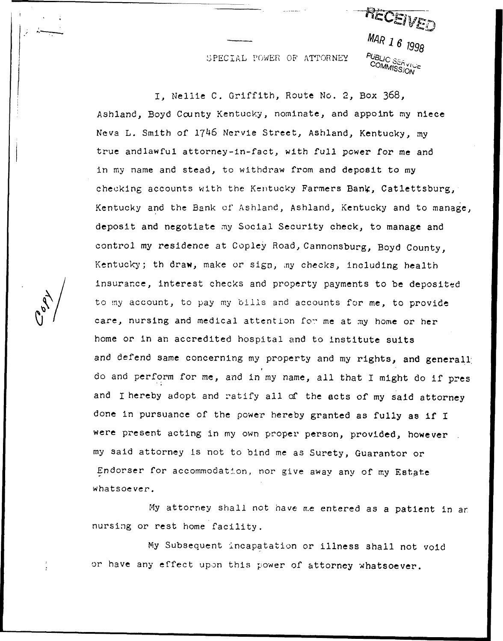SPECIAL POWER OF ATTORNEY  $\frac{P_{UBLIC}}{C_{OMALIC}}$ 

RECET  $MAR$  1 6  $1998$ COMMISSION

I. Nellie C. Griffith, Route No. 2, Box 368, Ashland, Boyd County Kentucky, nominate, and appoint my niece Neva L. Smith of 1746 Nervie Street, Ashland, Kentucky, my true andlawful attorney-in-fact, with full power for me and in my name and stead, to withdraw from and deposit to my checking accounts with the Kentucky Farmers Bank, Catlettsburg, Kentucky and the Bank of Ashland, Ashland, Kentucky and to manage, deposit and negotiate my Social Security check, to manage and control my residence at Copley Road, Cannonsburg, Boyd County, Kentucky; th draw, make or sign, my checks, including health insurance, interest checks and property payments to be deposited to my account, to pay my bills and accounts for me, to provide care, nursing and medical attention for me at my home or her home or in an accredited hospital and to institute suits and defend same concerning my property and my rights, and generall do and perform for me, and in my name, all that I might do if pres and I hereby adopt and ratify all of the acts of my said attorney done in pursuance of the power hereby granted as fully as if I were present acting in my own proper person, provided, however my said attorney is not to bind me as Surety, Guarantor or Endorser for accommodation, nor give away any of my Estate whatsoever.

My attorney shall not have me entered as a patient in an nursing or rest home facility.

My Subsequent incapatation or illness shall not void or have any effect upon this power of attorney whatsoever.